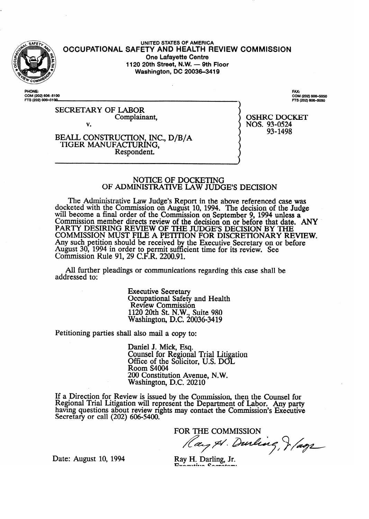

**UNITED STATES OF AMERICA OCCUPATIONAL SAFETY AND HEALTH REVIEW COMMISSION One Lafayette Centre 1120 20th Street, N.W. - 9th Floor Washington, DC 20036-3419** 

**PHONE: COM (202) 6064100 FTS (202) 606-5100**  **. zi (202) 6o%5050**  FTS (202) 606-5050

SECRETARY OF LABOR Complainant, v.

OSHRC DOCKET NOS. 93-0524 93-1498

### BEALL CONSTRUCTION, INC., D/B/A TIGER MANUFACTURING, Respondent.

## NOTICE OF DOCKETING OF **ADMINISTRATIVEi** LAW JUDGE'S DECISION

The Administrative Law Judge's Report in the above referenced case was docketed with the Commission on August 10, 1994. The decision of the Judge will become a final order of the Commission on September 9, 1994 unless a Commission member directs review of the decision on or before that date. ANY PARTY DESIRING REVIEW OF THE JUDGES DECISION BY THE **COMMISSION** MUST FILE A PETITION FOR DISCRETIONARY REVIEW. Any such petition should be received by the Executive Secretary on or before August 30, **1994** in order to  $\mathbf{F}$ ermit sufficient time for its review. See Commission Rule 91, 29 C.F.R. 2200.91.

All further pleadings or communications regarding this case shall be addressed to:

> Executive Secretary Occupational Safety and Health Review Commission 1120 20th St. N.W., Suite 980 Washington, D.C. 20036-3419

Petitioning parties shall also mail a copy to:

Daniel J. Mick, Esq. Counsel for Regional Trial Litigation Office of the Solicitor, U.S. DOL Room S4004 200 Constitution Avenue, N.W. Washington, D.C. 20210

If a Direction for Review is issued by the Commission, then the Counsel for Regional Trial Litigation will represent the Department of Labor. Any party having questions about review rights may contact the Commission's Executive Secretary or call (202) **606-5400.** 

**FOR THE COMMISSION**  Ray & Durling, & *lags* 

Executive Conservative

Date: August 10, 1994 Ray H. Darling, Jr.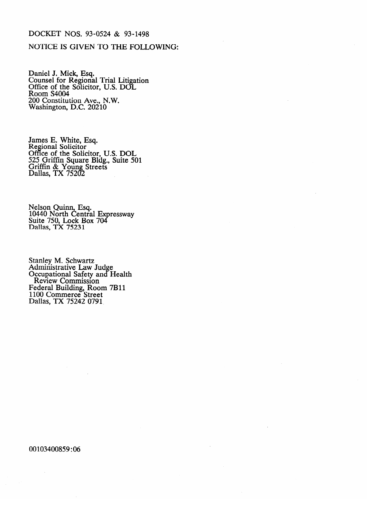## **DOCKET NOS. 93-0524 & 93-1498**

## NOTICE IS **GIVEN** TO THE FOLLOWING:

Daniel J. Mick, Esq.<br>Counsel for Regional Counsel for Regional Trial Litigation<br>Office of the Solicitor TTS DOI Office of the Solicitor, U.S. DOL<br>Room S4004 Room S<del>4</del>004<br>200 Constituti 200 Constitution Ave., N.W.<br>Washington, D.C. 20210 Washington, D.C. 20210

Regional Solicitor Office of the Solic 525 Griffin Square Bldg., Suite 50 Griffin & Young Streets Dallas, TX 7520

10440 North Centra Suite 750, Lock Box<br>Dollas TY 75221 Danas,  $\overline{1}X/5231$ 

Aunimistrative Law<br>Occupational Safety Occupational Salety and<br>Review Commission **COLCUT COMMASSION**<br>Federal Building, Room e 7**B**11 ederar Banding, 1000<br>100 Commerce Stree  $P_{\text{Edd}}$   $\overline{X}$   $75242$  0791  $1100, 111, 120, 120, 120$ 

00103400859:06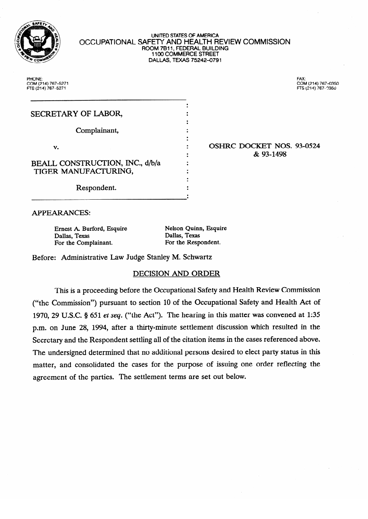

#### UNITED STATES OF AMERICA OCCUPATIONAL SAFETY AND HEALTH REVIEW COMMISSION **ROOM 7811, FEDERAL BUILDING 1100 COMMERCE STREET DALLAS, TEXAS 75242-0791**

**PHONE: COM (214) X7-5271 FTS (214) 767-5271** 

**FAX: COM (214) 767-0350** 

| SECRETARY OF LABOR,             |  |
|---------------------------------|--|
|                                 |  |
| Complainant,                    |  |
|                                 |  |
| v.                              |  |
|                                 |  |
| BEALL CONSTRUCTION, INC., d/b/a |  |
| TIGER MANUFACTURING,            |  |
|                                 |  |
| Doonandant                      |  |

# OSHRC DOCKET NOS. 93-0524<br>& 93-1498

**APPEARANCES:** 

Dallas, Texas Dallas, Texas Dallas, Texas Dallas, Texas Por the Respondent. For the Complainant.

Respondent.

Nelson Quinn, Esquire

 $\bullet$ 

Before: Administrative Law Judge Stanley M. Schwartz

# DECISION AND ORDER

This is a proceeding before the Occupational Safety and Health Review Commission ("the Commission") pursuant to section 10 of the Occupational Safety and Health Act of 1970, 29 U.S.C.  $\S 651$  et seq. ("the Act"). The hearing in this matter was convened at 1:35 p.m. on June 28, 1994, after a thirty-minute settlement discussion which resulted in the Secretary and the Respondent settling all of the citation items in the cases referenced above. The undersigned determined that no additional persons desired to elect party status in this matter, and consolidated the cases for the purpose of issuing one order reflecting the agreement of the parties. The settlement terms are set out below.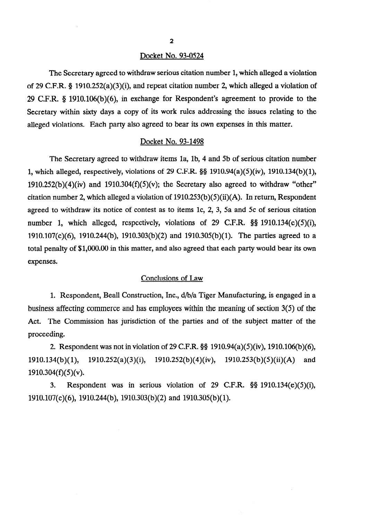### Docket No. 93-0524

The Secretary agreed to withdraw serious citation number 1, which alleged a violation of 29 C.F.R. 8 1910.252(a)(3)(i), and repeat citation number 2, which alleged a violation of 29 C.F.R. 8 1910.106(b)(6), in exchange for Respondent's agreement to provide to the Secretary within sixty days a copy of its work rules addressing the issues relating to the alleged violations. Each party also agreed to bear its own expenses in this matter.

## Docket No. 93-1498

The Secretary agreed to withdraw items la, lb, 4 and Sb of serious citation number 1, which alleged, respectively, violations of 29 C.F.R.  $\S$ § 1910.94(a)(5)(iv), 1910.134(b)(1),  $1910.252(b)(4)(iv)$  and  $1910.304(f)(5)(v)$ ; the Secretary also agreed to withdraw "other" citation number 2, which alleged a violation of  $1910.253(b)(5)(ii)(A)$ . In return, Respondent agreed to withdraw its notice of contest as to items lc, 2, 3, 5a and 5c of serious citation number 1, which alleged, respectively, violations of 29 C.F.R. §§ 1910.134(e)(5)(i), 1910.107(c)(6), 1910.244(b), 1910.303(b)(2) and 1910.305(b)( 1). The parties agreed to a total penalty of \$l,OOO.OO in this matter, and also agreed that each party would bear its own expenses.

# Conclusions of Law

1. Respondent, Beall Construction, Inc., d/b/a Tiger Manufacturing, is engaged in a business affecting commerce and has employees within the meaning of section 3(5) of the Act. The Commission has jurisdiction of the parties and of the subject matter of the proceeding.

2. Respondent was not in violation of 29 C.F.R.  $\S$ § 1910.94(a)(5)(iv), 1910.106(b)(6), 1910.134(b)( 1), 1910.252(a)(3)(i), 1910.252(b)(4)(iv), 1910.253(b)(5)(ii)(A) and  $1910.304(f)(5)(v)$ .

3. Respondent was in serious violation of 29 C.F.R. 5s 1910.134(e)(5)(i), 1910.107(c)(6), 1910.244(b), 1910.303(b)(2) and 1910.305(b)( 1).